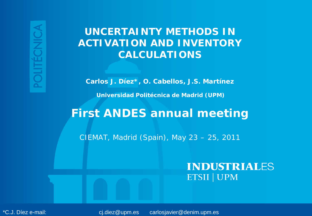## **UNCERTAINTY METHODS IN ACTIVATION AND INVENTORY CALCULATIONS**

**Carlos J. Díez\*, O. Cabellos, J.S. Martínez**

**Universidad Politécnica de Madrid (UPM)**

# **First ANDES annual meeting**

*CIEMAT, Madrid (Spain), May 23 – 25, 2011*

#### **INDUSTRIALES ETSII | UPM**

First ANDES Annual meeting 23-25 May 2011 CIEMAT, Madrid, Spain <sup>1</sup> / 20 \*C.J. Díez e-mail: cj.diez@upm.es carlosjavier@denim.upm.es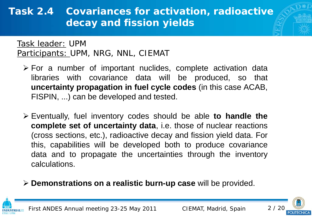# **Task 2.4 Covariances for activation, radioactive decay and fission yields**

Task leader: UPM Participants: UPM, NRG, NNL, CIEMAT

- $\triangleright$  For a number of important nuclides, complete activation data libraries with covariance data will be produced, so that **uncertainty propagation in fuel cycle codes** (in this case ACAB, FISPIN, ...) can be developed and tested.
- Eventually, fuel inventory codes should be able **to handle the complete set of uncertainty data**, i.e. those of nuclear reactions (cross sections, etc.), radioactive decay and fission yield data. For this, capabilities will be developed both to produce covariance data and to propagate the uncertainties through the inventory calculations.
- **Demonstrations on a realistic burn-up case** will be provided.



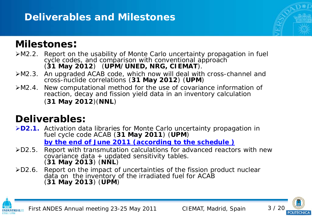# **Deliverables and Milestones**

# **Milestones:**

- M2.2. Report on the usability of Monte Carlo uncertainty propagation in fuel cycle codes, and comparison with conventional approach (**31 May 2012**) (**UPM/UNED, NRG, CIEMAT**).
- M2.3. An upgraded ACAB code, which now will deal with cross-channel and cross-nuclide correlations (**31 May 2012**) (**UPM**)
- M2.4. New computational method for the use of covariance information of reaction, decay and fission yield data in an inventory calculation (**31 May 2012**)(**NNL**)

# **Deliverables:**

**D2.1.** Activation data libraries for Monte Carlo uncertainty propagation in fuel cycle code ACAB (**31 May 2011**) (**UPM**)

*by the end of June 2011 (according to the schedule )*

- D2.5. Report with transmutation calculations for advanced reactors with new  $covariance data + updated sensitivity tables.$ (**31 May 2013**) (**NNL**)
- D2.6. Report on the impact of uncertainties of the fission product nuclear data on the inventory of the irradiated fuel for ACAB (**31 May 2013**) (**UPM**)



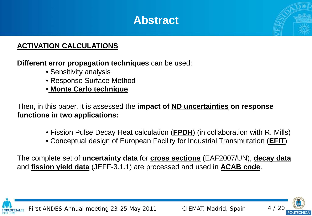# **Abstract**



**Different error propagation techniques** can be used:

- Sensitivity analysis
- Response Surface Method
- **Monte Carlo technique**

Then, in this paper, it is assessed the **impact of ND uncertainties on response functions in two applications:**

- Fission Pulse Decay Heat calculation (**FPDH**) (in collaboration with R. Mills)
- Conceptual design of European Facility for Industrial Transmutation (**EFIT**)

The complete set of **uncertainty data** for **cross sections** (EAF2007/UN), **decay data** and **fission yield data** (JEFF-3.1.1) are processed and used in **ACAB code**.



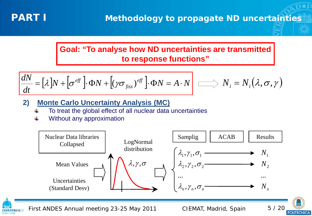

#### **Goal: "To analyse how ND uncertainties are transmitted to response functions"**

$$
\frac{dN}{dt} = [\lambda]N + [\sigma^{eff}] \cdot \Phi N + [(\gamma \sigma_{fiss})^{eff}] \cdot \Phi N = A \cdot N \qquad \Longrightarrow N_i = N_i(\lambda, \sigma, \gamma)
$$

- **2) Monte Carlo Uncertainty Analysis (MC)**
	- To treat the global effect of all nuclear data uncertainties
	- Without any approximation



First ANDES Annual meeting 23-25 May 2011 CIEMAT, Madrid, Spain 5 / 20 **INDUSTRIALES** 

POLITÉCNICA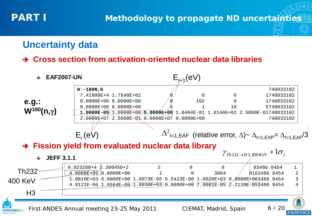### **Uncertainty data**

#### **Cross section from activation-oriented nuclear data libraries**

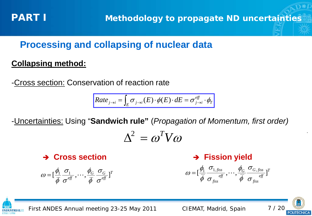# **Processing and collapsing of nuclear data**

#### **Collapsing method:**

-Cross section: Conservation of reaction rate

$$
Rate_{j\rightarrow i} = \int_{E} \sigma_{j\rightarrow i}(E) \cdot \phi(E) \cdot dE = \sigma_{j\rightarrow i}^{eff} \cdot \phi_{T}
$$

-Uncertainties: Using "**Sandwich rule"** (*Propagation of Momentum, first order)*

$$
\Delta^2 = \omega^T V \omega
$$

**Cross section**

$$
\omega = [\frac{\phi_1}{\overline{\phi}} \frac{\sigma_1}{\sigma^{eff}}, \cdots, \frac{\phi_G}{\overline{\phi}} \frac{\sigma_G}{\sigma^{eff}}]^T
$$

**Fission yield**

$$
\omega = [\frac{\phi_1}{\overline{\phi}} \frac{\sigma_{1, \text{fiss}}}{\sigma_{\text{fiss}}} , \cdots, \frac{\phi_G}{\overline{\phi}} \frac{\sigma_{G, \text{fiss}}}{\sigma_{\text{fiss}}} ]^T
$$



.

First ANDES Annual meeting 23-25 May 2011 CIEMAT, Madrid, Spain 7 / 20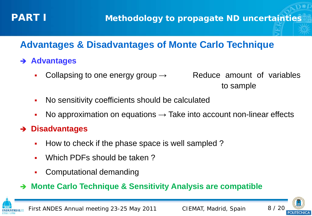

# **Advantages & Disadvantages of Monte Carlo Technique**

#### **Advantages**

- Collapsing to one energy group  $\rightarrow$  Reduce amount of variables
- No sensitivity coefficients should be calculated
- No approximation on equations  $\rightarrow$  Take into account non-linear effects

#### **Disadvantages**

- How to check if the phase space is well sampled?
- Which PDFs should be taken ?
- Computational demanding

#### **Monte Carlo Technique & Sensitivity Analysis are compatible**



First ANDES Annual meeting 23-25 May 2011 CIEMAT, Madrid, Spain 8 / 20

to sample

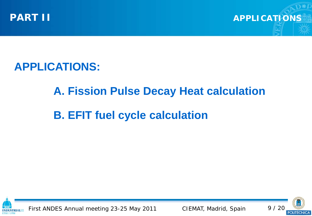

**PART II APPLICATIONS** 

**APPLICATIONS:**

# **A. Fission Pulse Decay Heat calculation**

# **B. EFIT fuel cycle calculation**



First ANDES Annual meeting 23-25 May 2011 CIEMAT, Madrid, Spain 9 / 20

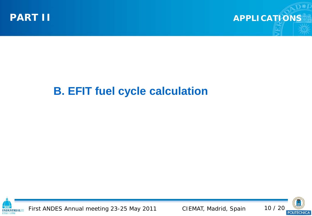

**APPLICATIONS**

# **B. EFIT fuel cycle calculation**



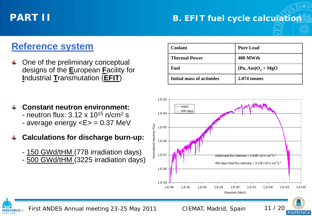**INDUSTRIALES** 

**FTSH LIDA** 

#### **PART II B. EFIT fuel cycle calculation**

### **Reference system**

- One of the preliminary conceptual designs of the **E**uropean **F**acility for **I**ndustrial **T**ransmutation (**EFIT**)
- **Constant neutron environment:** - neutron flux:  $3.12 \times 10^{15}$  n/cm<sup>2</sup> s
	- average energy <E> = 0.37 MeV
- **Calculations for discharge burn-up:**
	- 150 GWd/tHM (778 irradiation days) - 500 GWd/tHM (3225 irradiation days)

| Coolant                          | <b>Pure Lead</b>                                |
|----------------------------------|-------------------------------------------------|
| <b>Thermal Power</b>             | 400 MWth                                        |
| Fuel                             | $(\text{Pu}, \text{Am})\text{O}_2 + \text{MgO}$ |
| <b>Initial mass of actinides</b> | <b>2.074 tonnes</b>                             |

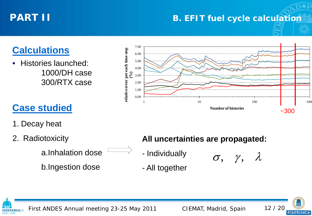#### **B. EFIT fuel cycle calculation**

# **Calculations**

• Histories launched: 1000/DH case 300/RTX case



# **Case studied**

- 1. Decay heat
- 2. Radiotoxicity

a.Inhalation dose

b.Ingestion dose

#### **All uncertainties are propagated:**

- Individually

- All together

 $\sigma$ ,  $\gamma$ ,  $\lambda$ 

**POLITÉCNICA** 



First ANDES Annual meeting 23-25 May 2011 CIEMAT, Madrid, Spain 12 / 20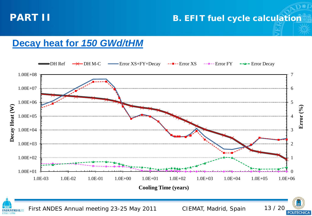

**INDUSTRIALES** 

**ETSII | UPM** 





First ANDES Annual meeting 23-25 May 2011 CIEMAT, Madrid, Spain 13 / 20

POLITÉCNICA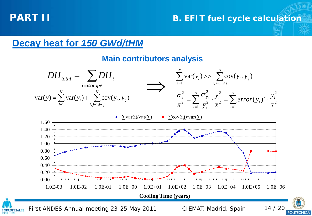**INDUSTRIALES ETSIL UPM** 

#### **PART II B. EFIT fuel cycle calculation**

### **Decay heat for** *150 GWd/tHM*

#### **Main contributors analysis**



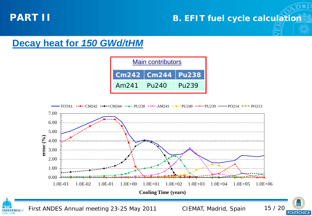**INDUSTRIALES** 

**ETSII | UPM** 

#### **B. EFIT fuel cycle calculation**

### **Decay heat for** *150 GWd/tHM*





First ANDES Annual meeting 23-25 May 2011 CIEMAT, Madrid, Spain 15 / 20

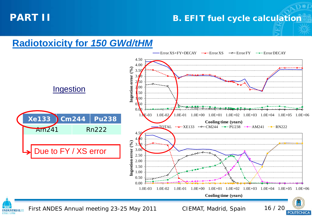**ETSII | UPM** 

#### **B. EFIT fuel cycle calculation**

### **Radiotoxicity for** *150 GWd/tHM*

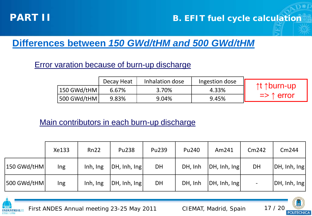

#### **PART II B. EFIT fuel cycle calculation**

# **Differences between** *150 GWd/tHM and 500 GWd/tHM*

#### Error varation because of burn-up discharge

|             | Decay Heat | Inhalation dose | Ingestion dose |                                |
|-------------|------------|-----------------|----------------|--------------------------------|
| 150 GWd/tHM | 6.67%      | 3.70%           | 4.33%          | _↑t ↑burn-up                   |
|             | 9.83%      | 9.04%           | 9.45%          | $\Rightarrow$ $\uparrow$ error |

#### Main contributors in each burn-up discharge

|             | Xe133 | Rn22     | <b>Pu238</b> | Pu239 | Pu240   | Am241        | Cm242                    | Cm244        |
|-------------|-------|----------|--------------|-------|---------|--------------|--------------------------|--------------|
| 150 GWd/tHM | Ing   | Inh, Ing | DH, Inh, Ing | DH    | DH, Inh | DH, Inh, Ing | DH                       | DH, Inh, Ing |
| 500 GWd/tHM | Ing   | Inh, Ing | DH, Inh, Ing | DH    | DH, Inh | DH, Inh, Ing | $\overline{\phantom{a}}$ | DH, Inh, Ing |



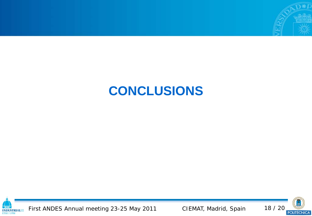

# **CONCLUSIONS**



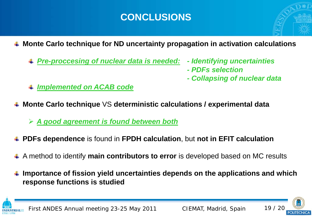# **CONCLUSIONS**

- **Monte Carlo technique for ND uncertainty propagation in activation calculations**
	- *Pre-proccesing of nuclear data is needed: - Identifying uncertainties*
		-
		- *- PDFs selection*
		- *- Collapsing of nuclear data*
- *Implemented on ACAB code*
- **Monte Carlo technique** VS **deterministic calculations / experimental data**
	- *A good agreement is found between both*
- **PDFs dependence** is found in **FPDH calculation**, but **not in EFIT calculation**
- A method to identify **main contributors to error** is developed based on MC results
- **Importance of fission yield uncertainties depends on the applications and which response functions is studied**



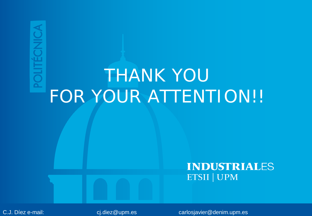# *THANK YOU FOR YOUR ATTENTION!!*

#### **INDUSTRIALES ETSII | UPM**

C.J. Díez e-mail: etimological meeting 23-25 carlos and 2011 carlos extendies entry carlosjavier@denim.upm.es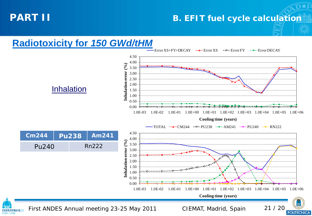#### **B. EFIT fuel cycle calculation**

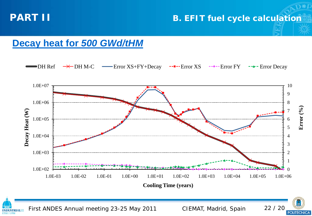**INDUSTRIALES** 

**ETSII | UPM** 

#### **PART II B. EFIT fuel cycle calculation**

### **Decay heat for** *500 GWd/tHM*



First ANDES Annual meeting 23-25 May 2011 CIEMAT, Madrid, Spain 22 / 20

POLITÉCNICA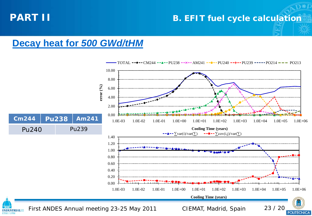#### **PART II B. EFIT fuel cycle calculation**

# **Decay heat for** *500 GWd/tHM*

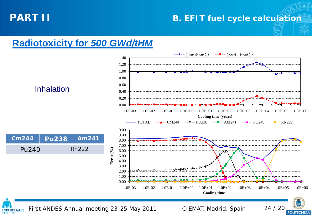#### **B. EFIT fuel cycle calculation**